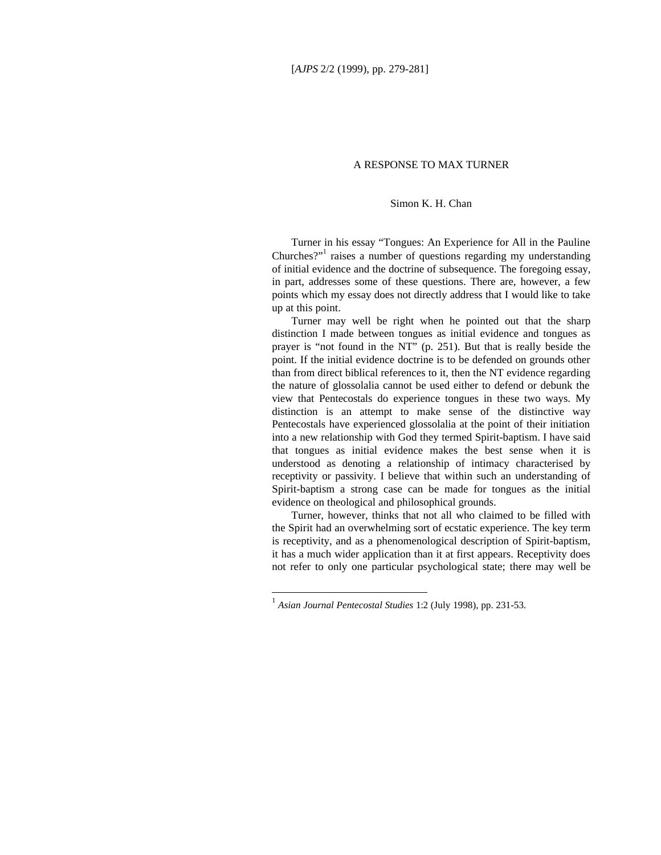## A RESPONSE TO MAX TURNER

## Simon K. H. Chan

Turner in his essay "Tongues: An Experience for All in the Pauline Churches?"<sup>1</sup> raises a number of questions regarding my understanding of initial evidence and the doctrine of subsequence. The foregoing essay, in part, addresses some of these questions. There are, however, a few points which my essay does not directly address that I would like to take up at this point.

Turner may well be right when he pointed out that the sharp distinction I made between tongues as initial evidence and tongues as prayer is "not found in the NT" (p. 251). But that is really beside the point. If the initial evidence doctrine is to be defended on grounds other than from direct biblical references to it, then the NT evidence regarding the nature of glossolalia cannot be used either to defend or debunk the view that Pentecostals do experience tongues in these two ways. My distinction is an attempt to make sense of the distinctive way Pentecostals have experienced glossolalia at the point of their initiation into a new relationship with God they termed Spirit-baptism. I have said that tongues as initial evidence makes the best sense when it is understood as denoting a relationship of intimacy characterised by receptivity or passivity. I believe that within such an understanding of Spirit-baptism a strong case can be made for tongues as the initial evidence on theological and philosophical grounds.

Turner, however, thinks that not all who claimed to be filled with the Spirit had an overwhelming sort of ecstatic experience. The key term is receptivity, and as a phenomenological description of Spirit-baptism, it has a much wider application than it at first appears. Receptivity does not refer to only one particular psychological state; there may well be

-

<sup>1</sup> *Asian Journal Pentecostal Studies* 1:2 (July 1998), pp. 231-53.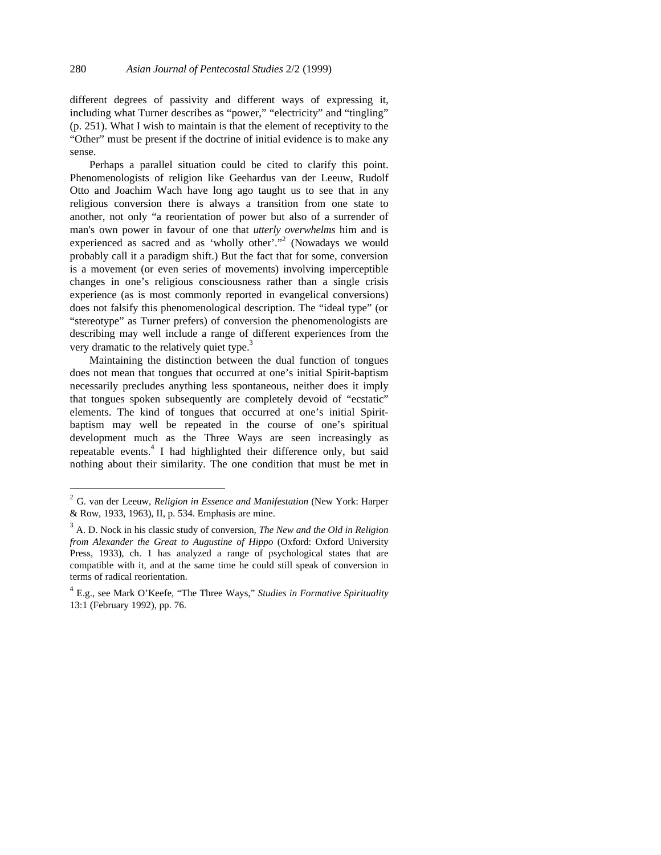different degrees of passivity and different ways of expressing it, including what Turner describes as "power," "electricity" and "tingling" (p. 251). What I wish to maintain is that the element of receptivity to the "Other" must be present if the doctrine of initial evidence is to make any sense.

Perhaps a parallel situation could be cited to clarify this point. Phenomenologists of religion like Geehardus van der Leeuw, Rudolf Otto and Joachim Wach have long ago taught us to see that in any religious conversion there is always a transition from one state to another, not only "a reorientation of power but also of a surrender of man's own power in favour of one that *utterly overwhelms* him and is experienced as sacred and as 'wholly other'."<sup>2</sup> (Nowadays we would probably call it a paradigm shift.) But the fact that for some, conversion is a movement (or even series of movements) involving imperceptible changes in one's religious consciousness rather than a single crisis experience (as is most commonly reported in evangelical conversions) does not falsify this phenomenological description. The "ideal type" (or "stereotype" as Turner prefers) of conversion the phenomenologists are describing may well include a range of different experiences from the very dramatic to the relatively quiet type. $3$ 

Maintaining the distinction between the dual function of tongues does not mean that tongues that occurred at one's initial Spirit-baptism necessarily precludes anything less spontaneous, neither does it imply that tongues spoken subsequently are completely devoid of "ecstatic" elements. The kind of tongues that occurred at one's initial Spiritbaptism may well be repeated in the course of one's spiritual development much as the Three Ways are seen increasingly as repeatable events.<sup>4</sup> I had highlighted their difference only, but said nothing about their similarity. The one condition that must be met in

-

<sup>2</sup> G. van der Leeuw, *Religion in Essence and Manifestation* (New York: Harper & Row, 1933, 1963), II, p. 534. Emphasis are mine.

<sup>3</sup> A. D. Nock in his classic study of conversion, *The New and the Old in Religion from Alexander the Great to Augustine of Hippo* (Oxford: Oxford University Press, 1933), ch. 1 has analyzed a range of psychological states that are compatible with it, and at the same time he could still speak of conversion in terms of radical reorientation.

<sup>4</sup> E.g., see Mark O'Keefe, "The Three Ways," *Studies in Formative Spirituality* 13:1 (February 1992), pp. 76.